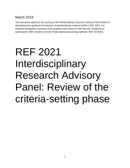# March 2019

This document reports on the working of the Interdisciplinary Research Advisory Panel (IDAP) in developing their guidance for inclusion of interdisciplinary research (IDR) in REF 2021. It is published alongside a summary of the guidance and criteria for IDR from the 'Guidance on submissions' (REF 2019/01) and the 'Panel criteria and working methods' (REF 2019/02).

# REF 2021 Interdisciplinary Research Advisory Panel: Review of the criteria-setting phase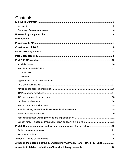# Contents

| Part 3: Recommendations and further considerations for the future 23           |  |
|--------------------------------------------------------------------------------|--|
|                                                                                |  |
|                                                                                |  |
|                                                                                |  |
| Annex B: Membership of the Interdisciplinary Advisory Panel (IDAP) REF 2021 27 |  |
|                                                                                |  |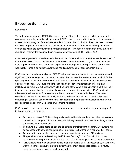# <span id="page-2-0"></span>**Executive Summary**

### <span id="page-2-1"></span>**Key points**

The independent review of REF 2014 chaired by Lord Stern noted concerns within the research community regarding interdisciplinary research (IDR): it was perceived to have been disadvantaged at assessment. Analysis of the assessment demonstrated that this had not been the case. However the lower proportion of IDR submitted relative to what might have been expected suggested low confidence within the community of fair treatment for IDR. The report recommended that structures should be implemented to support submission and assessment of IDR in REF 2021.

IDAP was appointed to provide expert advice and recommendations to ensure equitable treatment of IDR in REF 2021. The chair of the panel is Professor Dame Athene Donald, and panel members were appointed on the basis of relevant expertise. An underpinning principle for the panel's work was that IDR should be neither advantaged nor disadvantaged for assessment in the REF.

IDAP members noted that analysis of REF 2014 impact case studies submitted had demonstrated significant underpinning IDR. The panel concluded that this was therefore an area for which further specific guidance would not be required, and that their advice should focus on assessment of IDR outputs. Additionally IDAP supported the inclusion of IDR for consideration in unit-level and institutional environment submissions. While the timing of the panel's appointment meant that their input into development of the institutional environment submission was limited, IDAP provided advice on possible metrics for unit-level and institutional environment submission. The panel considered that institutions should identify indicators relevant for their own context rather than supporting a "standard" set, however noting full support for the principles developed by the Forum for Responsible Research Metrics for environment indicators.

IDAP considered relevant evidence and made a number of recommendations regarding outputs for inclusion of IDR in REF 2021:

- For the purposes of REF 2021 the panel developed broad-based and inclusive definitions of IDR encompassing multi, inter and trans disciplinary research, and research arising outside clear disciplinary foundations.
- To ensure that IDR is not to be seen to be outside of mainstream research, IDR outputs will be assessed within the existing sub-panel structures, rather than by a separate IDR panel.
- To support the work of the sub-panels each will appoint at least two IDR Advisers.
- The panel recommended retaining the IDR identifier "flag" from 2014, which will bring research within the purview of the IDR Advisers. Use of this flag will not be made mandatory.
- IDR Advisers will not be solely responsible for undertaking all IDR assessments, but will work with their panel's executive group to determine the most appropriate assessment route, based on requirements of research submitted.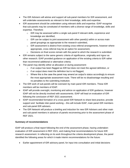- The IDR Advisers will advise and support all sub-panel members for IDR assessment, and will undertake assessments as relevant to their knowledge, skills and expertise.
- IDR assessment should be undertaken using relevant skills and expertise. IDAP recognise that sub-panels may be constituted of members with a diverse range of knowledge, skills and expertise. Therefore:
	- $\circ$  IDR may be assessed within a single sub-panel if relevant skills, experience and knowledge are identified,
	- o IDR can be subject to joint assessment with other panel(s) within or across main panel groupings as appropriate to the research submitted,
	- $\circ$  IDR assessment is distinct from existing cross-referral arrangements, however where appropriate, cross referral may be an option for assessment,
	- $\circ$  Decisions on final scores remain with the panel to which the research is submitted.
- IDR remains subject to the same generic criteria of significance, originality and rigour as other research. IDAP provided guidance on application of the existing criteria to IDR rather than recommend additional or alternative criteria.
- The panel may identify either at allocation or during assessment:
	- $\circ$  if an output has been flagged as IDR but does not meet the agreed definition, or
	- $\circ$  if an output does meet the definition but is not flagged,
	- $\circ$  Where this is the case the panel may amend an output's status accordingly to ensure the most appropriate assessment route. There will be no disadvantage resulting and no penalties to the submitting institution.
- The IDR work of sub-panels will be overseen by main panel IDR members. These IDR members will be members of IDAP.
- IDAP will provide oversight, monitoring and advice on application of IDR guidance, however IDAP will not be directly involved with assessments. IDAP will lead on evaluation of IDR following the conclusion of REF 2021 assessment.
- IDAP recommended formation of a cross panel IDR Network to share best practice, provide support and facilitate inter-panel working – this will include IDAP, main panel IDR members and sub-panel IDR advisers.
- The IDR Network will produce a briefing and induction for new IDR Advisers and other main and sub-panel members in advance of panels reconvening prior to the assessment phase of REF 2021.

#### <span id="page-3-0"></span>**Summary of recommendations**

IDAP will produce a final report following the end of the assessment phase, having undertaken evaluation of IDR assessment in REF 2021, and making final recommendations for future IDR research assessment. In reflecting on its work throughout the criteria development phase, the panel identified the following areas for which it made interim recommendations for the future:

Earlier appointment of IDR advisory panel, for input into consultation and initial decisions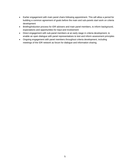- Earlier engagement with main panel chairs following appointment. This will allow a period for building a common agreement of goals before the main and sub-panels start work on criteria development
- Briefing/induction process for IDR advisers and main panel members, to inform background, expectations and opportunities for input and involvement
- Direct engagement with sub-panel members at an early stage in criteria development, to enable an open dialogue with panel representatives to test and inform assessment principles
- Ongoing engagement with panel members throughout criteria development, including meetings of the IDR network as forum for dialogue and information sharing.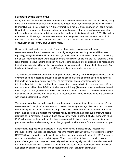## <span id="page-5-0"></span>**Foreword by the panel chair**

Being a researcher who has worked for years at the interface between established disciplines, facing up to all the problems that such work faces to be judged 'equally', when I was asked if I was willing to chair REF2021's Interdisciplinary Advisory Panel, I did not feel it was an invitation I could refuse. Nevertheless I recognized the magnitude of the task. To ensure that the panel's recommendations addressed the anxieties that individual researchers and their institutions felt during REF2014 and, by extension, would feel again as REF2021 loomed if nothing were done, we knew we had to think radically. Of course the Stern Review had given us some pointers and the response to the consultation on the Review gave us some more.

So, we set to work and, over the past 18 months, have striven to come up with some recommendations that will reassure the community at large that interdisciplinarity will be treated equitably, alongside all other kinds of research, when it comes to evaluation in REF 2021. Inevitably, not all our recommendations were accepted by the Main Panel Chairs and the REF Steering Group. Nevertheless I believe that the end point we have reached should give confidence to all researchers that interdisciplinarity will be neither favoured nor disfavoured as the sub-panels do their work. Such fundamental confidence I regard as vital if our work is to be regarded as a success.

The main issues obviously arise around outputs. Interdisciplinarity underpinning impact case studies everyone seemed to feel had provoked no issues last time around and there seemed no concern that anything would be different this time. The environment statement offers scope for interdisciplinarity to be discussed but there is no metric associated with it to raise concerns. We set out to come up with a clear definition of what interdisciplinary (ID) research was – and wasn't – and how it might be distinguished from the established route of cross-referral. To define ID research so that it satisfies all possible manifestations is no mean feat, but I hope we have come to a conclusion with which people will be content.

The second strand of our work related to how the actual assessment should be carried out. Stern recommended 'champions' but we felt that conveyed the wrong message: ID work should not need championing by individuals so much as judged fairly. We have therefore recommended that each Main Panel should have at least one member with ID experience, and each sub-panel two people identified as ID Advisors. To support these people in their work a network of all of them, with whom IDAP will interact as their work unfolds, has been created. As issues arise, as uncertainty about procedures and normalisation may occur, this group will provide a forum for discussion and support.

It is probably not possible to anticipate all of the wrinkles that interdisciplinary research may introduce into the REF process. However I hope the major uncertainties that were clearly present in REF2014 have been addressed. I would like to take this opportunity to thank all the IDAP members who have worked with me to reach this point. When I set out I felt this was a daunting task for a group of strangers to pull together. I was delighted by the collegiality with which we all worked and the good humour manifest as we strove to find a unified set of recommendations, work which was also aided by considerable input and support from the wider academic community.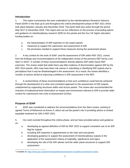# <span id="page-6-0"></span>**Introduction**

1. This report summarises the work undertaken by the Interdisciplinary Research Advisory Panel (IDAP) in the lead up to and throughout the criteria development phase of REF 2021 which took place between January and December 2018. The panel itself was active through the period May 2017 to December 2018. This report sets out our reflections on the process of providing advice and guidance on interdisciplinary research (IDR) for the panels and the four UK higher education funding bodies on:

- a. the representation of IDR expertise on the expert panels
- b. measures to support the submission and assessment of IDR
- c. the processes needed to support these measures during the assessment phase.

2. A key context for the work of IDAP, and the assessment of IDR within REF 2021, comes from the findings and recommendations of the independent review of the previous REF led by Lord Stern in 2016<sup>1</sup>. A number of these recommendations directly address IDR within future REF exercises. The review noted that while there was little evidence of discrimination against IDR by the REF 2014 panels, HEIs may have been risk averse in submitting or identifying IDR outputs due to perceptions that it may be disadvantaged in the assessment. As a result, the review identified a number of actions aimed at improving confidence in IDR assessment in the REF.

3. A central theme of these recommendations is that such confidence could best be achieved through the development of a clear and consistent approach to the assessment of IDR outputs, underpinned by supporting structures within and across panels. The review also recommended the inclusion of institutional-level information on impact and environment relevant to IDR to provide wider context for submissions into units of assessment (UOAs).

# <span id="page-6-1"></span>**Purpose of IDAP**

4. IDAP was constituted to address the recommendations from the Stern review, working to agreed Terms of Reference at Annex A, which set out the panel's role in providing advice to embed equitable treatment for IDR in REF 2021.

5. Our work evolved throughout the criteria phase, and we have provided advice and guidance on:

- a. developing an agreed definition of IDR for REF 2021 to support consistent use of an IDR flag for outputs
- b. including IDR expertise in appointments to the main and sub-panels
- c. developing guidance to support the assessment of interdisciplinary outputs in the application of the assessment criteria of originality, significance and rigour
- d. developing the role of the IDR adviser and the wider panel structures to support IDR assessment

 $\overline{a}$ <sup>1</sup> Available at: [https://www.gov.uk/government/publications/research-excellence-framework-review.](https://www.gov.uk/government/publications/research-excellence-framework-review)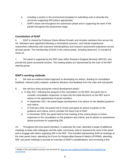- e. including a section in the environment template for submitting units to describe the structures supporting IDR (where appropriate)
- f. IDAP's future role throughout the submission phase and in supporting the work of the panels throughout the assessment stage.

# <span id="page-7-0"></span>**Constitution of IDAP**

6. IDAP is chaired by Professor Dame Athene Donald, and includes members from across the UK. Members were appointed following a nominations process<sup>2</sup>, and include experienced researchers collectively with extensive interdisciplinary and research assessment experience across all main panels. The membership of IDAP in the criteria phase, including observers, is included at Annex B.

7. The panel is supported by the REF team within Research England (formerly HEFCE), who provide the panel secretariat function. The funding bodies are represented by the chair of the REF steering group.

# <span id="page-7-1"></span>**IDAP's working methods**

8. We took an evidence-based approach to developing our advice, drawing on consultation feedback, relevant policy analysis, academic literature and feedback from the main and sub-panels.

- 9. We met four times during the criteria development phase:
	- a. In May 2017, following the analysis of the consultation on the REF, the panel met to consider consultation responses, to input into the initial decisions on the REF and to advise on the appointment of panel members.
	- b. In September 2017, the panel began development of its advice on the detailed guidance and criteria.
	- c. In February 2018, the panel met to review and agree its advice to panels on the guidance and criteria, and to consider the future role of IDAP.
	- d. In November 2018, the panel held its final meeting of the criteria phase to review responses to the consultation on the guidance and criteria, and to advise on assessment phase processes for supporting IDR.

10. Throughout this time panel members, in particular the chair, attended a range of additional meetings to liaise with colleagues and the wider community, both to represent the work of the panel and to engage with others regarding IDR in the REF. This included representing IDAP at meetings of the main panel chairs, attending the Forum for Responsible Research Metrics (FFRRM), attending REF sub-panel meetings to provide an overview of IDAP's considerations, and convening a first

 $\overline{a}$ <sup>2</sup> Details of the nominations process can be found at: [https://re.ukri.org/documents/hefce-documents/idr-ap](https://re.ukri.org/documents/hefce-documents/idr-ap-recruitment/)[recruitment/](https://re.ukri.org/documents/hefce-documents/idr-ap-recruitment/)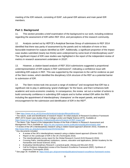meeting of the IDR network, consisting of IDAP, sub-panel IDR advisers and main panel IDR members.

# <span id="page-8-0"></span>**Part 1: Background**

11. This section provides a brief examination of the background to our work, including evidence regarding the assessment of IDR within REF 2014, and perceptions of the research community.

12. Analysis carried out by HEFCE's Analytical Services Group of submissions to REF 2014 identified that there was parity of assessment by the panels and no indication of more or less favourable treatment for outputs identified as IDR<sup>3</sup>. Additionally, a significant proportion of the impact case studies submitted (nearly two thirds) were underpinned by some level of interdisciplinary work<sup>4</sup>. The significant impact of IDR case studies was highlighted in the report of the independent review of metrics in research assessment undertaken in 2015<sup>5</sup>.

13. However, a citation-based analysis of REF 2014 submissions suggested a proportional underrepresentation of IDR outputs in REF submissions $6$ , indicating a confidence issue with submitting IDR outputs in REF. This was supported by the responses to the call for evidence as part of the Stern review, which identified the disciplinary UOA structure of the REF as a potential barrier to submission of IDR.

14. The Stern review took into account a range of evidence<sup>7</sup> and recognised that IDR has a significant role to play in addressing 'grand challenges' for the future, and that it enhances both academic and socio-economic creativity. In consequence, the review set out a number of actions to build community confidence in submitting IDR outputs and to further embed IDR within the REF, including the appointment of interdisciplinary 'champions' on the expert panels, and explicit encouragement for the submission and identification of IDR in the REF<sup>8</sup>.

<sup>5</sup> The Metric Tide: Report of the Independent Review of the Role of Metrics in Research Assessment and Management This is available at:<https://re.ukri.org/news-events-publications/publications/metric-tide/> <sup>6</sup> A review of the UK's interdisciplinary research using a citation-based approach (Elsevier 2015). Available at:

 $\overline{a}$ 

<sup>3</sup> See [https://www.ref.ac.uk/2014/results/analysis/outputprofilesanddiversity/.](https://www.ref.ac.uk/2014/results/analysis/outputprofilesanddiversity/)

<sup>4</sup> The nature, scale and beneficiaries of research impact: An initial analysis of Research Excellence Framework (REF) 2014 impact case studies (King's College London and Digital Science 2015). Available at: <https://www.kcl.ac.uk/sspp/policy-institute/publications/Analysis-of-REF-impact.pdf>

[http://www.hefce.ac.uk/pubs/rereports/year/2015/interdisc/.](http://www.hefce.ac.uk/pubs/rereports/year/2015/interdisc/)

<sup>&</sup>lt;sup>7</sup> Key documents included: A review of the UK's interdisciplinary research using a citation-based approach (Elsevier 2015)

Report on the Landscape of IDR in the UK (Technopolis 2016)

The interdisciplinarity survey report for the Global Research Council (DJS Research 2016)

Crossing Paths: Interdisciplinary institutions, careers, education and applications. (British Academy for the Humanities and Social Sciences 2016)

Evaluating Interdisciplinary Research: a practical guide. (Strang and McLeish 2015)

Call for Evidence Independent review of the Research Excellence Framework (REF): Synthesis of responses (Technopolis 2016)

<sup>&</sup>lt;sup>8</sup> See page 28. Available at: [https://www.gov.uk/government/publications/research-excellence-framework-review.](https://www.gov.uk/government/publications/research-excellence-framework-review)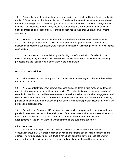15. Proposals for implementing these recommendations were included by the funding bodies in the 2016 Consultation on the Second Research Excellence Framework, namely that: there should be a role providing expertise and oversight for assessment of IDR within each sub-panel; the IDR identifier 'flag', first used in REF 2014, should be mandatory; and information on each submitting unit's approach to, and support for IDR, should be required through their unit-level environment submission.

16. Further proposals were made to introduce submissions at institutional level that would assess the strategic approach and activities to support interdisciplinary working through an institutional environment submission, and highlight the impact of IDR through institution-level impact case studies.

17. We commenced our work following the funding bodies' consultation. On reflection, we believe that beginning this work earlier would have been of value to the development of the early proposals and their earlier feed in to the work of the main panels

# <span id="page-9-0"></span>**Part 2: IDAP's advice**

18. This section sets out our approach and processes in developing our advice for the funding bodies and the panels.

19. Across our first three meetings, we assessed and considered a wide range of evidence in order to inform our developing guidance and advice. Throughout this process we were mindful of consultation feedback and evidence emerging through other mechanisms, such as engagement and consultative events undertaken by the REF team and IDAP members, and feedback from advisory panels, such as the Environment working group of the Forum for Responsible Research Metrics, and professional organisations.

20. Following our February 2018 meeting, our initial advice was provided to the main and subpanels, for comment, as part of the development of the panel criteria. The IDR advisers within each main panel also met for the first time during this period to consider and feedback on the arrangements for the IDR network, its working methods and supporting structures.

#### <span id="page-9-1"></span>**Initial decisions**

21. At our first meeting in May 2017 we were asked to review feedback from the REF consultation around IDR, in order to provide advice on the funding bodies' initial decisions on the exercise. As noted above, we believe it would have been beneficial to the process had we met earlier and been able to input into the proposals and questions put forward for consultation.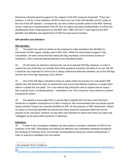Responses showed general support for the majority of the IDR measures proposed<sup>9</sup>. There was, however, a call for a clear definition of IDR to inform the use of the IDR identifier and for clarity on the role of the IDR advisers. Consequently, we were invited to provide advice to the REF Steering Group, made up of representatives from the four UK higher education funding bodies, to inform the development of the 'Initial decisions on the REF 2021' (REF 2017/01)<sup>10</sup> with regard to the IDR identifier and definition and appointment of IDR focussed panel members.

#### <span id="page-10-0"></span>**IDR identifier and definition:**

#### <span id="page-10-1"></span>**IDR identifier:**

22. The panel was asked to advise on the proposal to make mandatory the identifier for submission of IDR outputs, initially used in REF 2014. While this had received support in the consultation, we were concerned that making the flag mandatory could increase burden for institutions, which would be disproportionate to the intended benefits.

23. On this basis we advised continuing the use of an optional IDR flag. However, in order to support the use of the flag, we consider that further guidance should be provided on its use. We felt it would be very important for there to be a clearly understood distinction between use of the IDR flag and the use of the flag requesting cross-referral.

24. Use of the IDR flag is intended to bring an output within the purview of a sub-panel's IDR adviser who will advise the chair on assessment and ensure that relevant expertise is sought either within or outside the sub-panel. The cross-referral flag should be used to request that an output – that could be mono- or interdisciplinary – submitted in one UOA should be cross-referred to another sub-panel for advice.

25. We wanted to encourage HEIs to use the flag to identify IDR and were clear that there should be no negative consequence for HEIs in doing so. We recommended that sub-panels should assess whether outputs are correctly identified as IDR, for the purposes of REF assessment. Where an output is incorrectly identified we advised that these should be assessed within the normal practice of the sub-panel. However we also felt it was important to stress that where an output was 'unflagged' by the panel there would be no detriment.

#### <span id="page-10-2"></span>**Definition:**

26. Further to the consultation feedback we were asked to consider a definition of IDR for the purposes of the REF. Developing and refining the definition was undertaken iteratively throughout the meetings to February 2018, and through correspondence during the criteria-setting phase in order to respond to feedback from the panels.

 $\overline{a}$ <sup>9</sup> See paragraphs 60-63. Available at:

[http://www.ref.ac.uk/publications/2017/consultationonthesecondresearchexcellenceframeworksummaryofresponses.h](http://www.ref.ac.uk/publications/2017/consultationonthesecondresearchexcellenceframeworksummaryofresponses.html) [tml.](http://www.ref.ac.uk/publications/2017/consultationonthesecondresearchexcellenceframeworksummaryofresponses.html)

<sup>10</sup> <http://www.ref.ac.uk/publications/2017/initialdecisionsontheresearchexcellenceframework2021.html>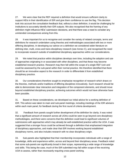27. We were clear that the REF required a definition that would ensure sufficient clarity to support HEIs in their identification of IDR and give them confidence to use the flag. This decision took into account the consultation feedback that, without a clear definition, it would be challenging for institutions to accurately identify their IDR outputs. We also recognised that the framing of any definition might influence HEIs' submission decisions, and that there was a need to consider any unintended consequences arising from this.

28. It was important for us to recognise and consider the variety of related concepts, terms and definitions for research undertaken using theories and methodologies associated with two or more differing disciplines. In developing our advice on a definition we considered wider literature on defining inter, multi, cross and trans-disciplinary research (see Annex C), and recognised the need to incorporate research outside of established disciplinary approaches within our considerations.

29. We noted that practice within disciplines develops over time, including the adoption and use of approaches originating in or associated with other disciplines, and that these may become established research practice. Research may then fall within the scope of a single REF UoA and could be assessed by the sub-panel within their normal practice. We therefore identified that there should be an innovative aspect to the research in order to differentiate it from established disciplinary practice.

30. Our considerations therefore sought to emphasise recognition of research which draws on the theories, methods and/or traditions of differing disciplines innovatively. Such research should be able to demonstrate clear interaction and integration of the component elements, and should move beyond established disciplinary practice, achieving outcomes which would not have otherwise have been possible.

31. Based on these considerations, we developed our initial advice for a working definition of IDR. This advice was taken to main and sub-panel meetings, including meetings of the IDR advisers within each main panel, for feedback during the first round of criteria development.

32. Feedback from panels sought further development of the definition for clarity. It was noted that a significant amount of research across all UOAs could be seen to go beyond core disciplinary methodologies, and there were concerns that this definition could lead to significant volumes of submissions with approaches which may already be well-established practice within the UOA. It was suggested that a stronger focus could be achieved through a definition that emphasised integration of disciplinary approaches, and made clear that IDR involves working beyond established disciplinary norms, and also includes research with no clear disciplinary origin.

33. Sub-panels also highlighted that their membership incorporates individuals with a range of knowledge, skills and experience within, across and beyond their disciplinary areas. Feedback noted that some sub-panels are significantly broad in their scope, representing a wide range of knowledge and skills. This being the case, much of the IDR submitted may fall within scope of the receiving UOA to assess, rather than necessarily requiring cross-panel working.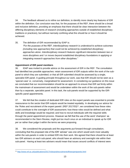34. The feedback allowed us to refine our definition, to identify more clearly key features of IDR within the definition. Our conclusion was that, for the purposes of the REF, there should be a broad and inclusive definition, providing an emphasis that there should be clear interaction between the differing disciplinary elements of research (including approaches outside of established disciplinary traditions or practices), but without narrowly confining what this should be or how it should be achieved.

35. The definition of IDR recommended by IDAP is:

*"For the purposes of the REF, interdisciplinary research is understood to achieve outcomes (including new approaches) that could not be achieved by established disciplinary approaches alone. Interdisciplinary research features significant interaction between two or more disciplines and / or moves beyond established disciplinary foundations in applying or integrating research approaches from other disciplines."*

#### <span id="page-12-0"></span>**Appointment of IDR panel members**

36. IDAP was invited to provide advice on the assessment of IDR in the REF. The consultation had identified two possible approaches: retain assessment of IDR outputs within the work of the subpanel to which they are submitted; or that all IDR submitted should be assessed by a single, specialist IDR panel. A guiding principle throughout our work, was that IDR should not be seen as a 'special case' or, conversely, marginalised for assessment. In considering our guidance on this issue we concluded that our recommendation should be an approach to ensure that IDR sat firmly within the mainstream of assessment and would be undertaken within the work of the sub-panels rather than by a separate, specialist panel. In this task, the sub-panels would be supported by the IDRspecific panel appointments.

37. We felt that the creation of dedicated IDR roles on the expert panels was essential to provide reassurance to the sector that IDR outputs would be treated equitably. In developing our advice for the 'Roles and recruitment of the expert panels' (REF 2017/03)<sup>11</sup>, we considered how these roles could contribute to the oversight of IDR assessment; how these roles would be defined and what skills and knowledge would be required; and how to recruit individuals with the required skills through the panel appointment process. However we felt that the use of the word 'champion' as recommended in the Stern Review, might put too much onus on an individual to speak up for IDR *per se* rather than judge it within the terms we were proposing.

38. We considered the proposals and the arguments put forward through consultation, concluding that the proposed role of the IDR 'adviser' was one which would work most valuably within the sub-panels in order to embed IDR into their work. We agreed that there should be at least two IDR advisers on each sub-panel, who should have an advisory and oversight role within their sub-panel. Having at least two advisers would mean that issues around conflicts of interest were

 $\overline{a}$ <sup>11</sup> <http://www.ref.ac.uk/publications/2017/rolesandrecruitmentoftheexpertpanels.html>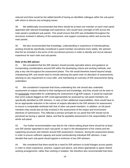reduced and there would be the added benefit of having an identified colleague within the sub-panel with whom to discuss any emerging issues.

39. We additionally recommended that there should be at least one member on each main panel appointed with relevant knowledge and experience, who would have oversight of IDR across the main panel's constituent sub-panels. This would ensure that IDR was embedded throughout the structures involved in delivery of the assessment, and support consistency within and across the main panels.

40. We also recommended that knowledge, understanding or experience of interdisciplinary working should be specifically considered in panel member recruitment more widely. We advised that this be included in the terms of the recruitment process in order to identify and recruit relevant experience for each main and sub-panels.

#### <span id="page-13-0"></span>**Role of the IDR adviser**

41. We considered that the IDR advisers should provide specialist advice and guidance on incorporating considerations around IDR within the developing criteria and working methods, and play a key role throughout the assessment phase. The role would therefore extend beyond simply championing IDR, and would need to include advising the panel chair on allocation of assessments, advising on any requirement to cross-refer, and maintaining an overview of IDR assessments being undertaken.

42. We considered it important that those undertaking this role should also undertake assessment of outputs relevant to their background and knowledge, and they should not be seen to be exclusively responsible for undertaking the assessment of all IDR outputs. It would be expected that some outputs flagged as IDR could appropriately be assessed by sub-panel members not specifically identified as IDR Advisers. In view of their additional responsibilities, there would have to be an appropriate reduction in the volume of outputs allocated to the IDR advisers for assessment, to ensure a comparable workload with that of other sub-panel members. In addition, as full panel members they would also be fully involved in the assessment of the impact and environment elements of submissions. This reflected a primary principle for our panel that IDR should not be perceived as having a 'special' status, and that its equitable assessment is the responsibility of the whole sub-panel.

43. Our further recommendation was that for the criteria setting phase there should be at least one IDR adviser appointed to each sub-panel, to input in the development of the criteria and the supporting structures and network around IDR assessment. However, during the assessment phase, in order to ensure sufficient capacity and avoid overburdening individual IDR advisers, it was decided that each sub-panel should appoint a minimum of two IDR advisers.

44. We considered that there would be a need for IDR advisers to build linkages across panels in order to share experience, practice, support and advice, and where appropriate to agree shared working arrangements, rather than working in isolation. We therefore also recommended that there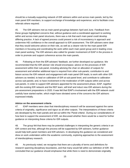should be a mutually-supporting network of IDR advisers within and across main panels, led by the main panel IDR members, to support exchange of knowledge and experience, and to facilitate cross referrals where required.

45. The IDR advisers met as main panel groupings between April and June. Feedback from these groups highlighted concerns that, without guidance and a coordinated approach to working within and across main panel structures, there was a risk that each main panel could develop differing practice. A lack of agreed process could present a risk of inconsistency in approach and undermine HEI confidence in the overall approach to IDR assessment. The IDR advisers were clear that they would welcome advice on their role, as well as a clearer role for the main panel IDR members in focusing and coordinating the work within each main panel group and in leading cross main panel working. The IDR advisers also called for greater involvement of IDAP in the process in order to promote and support coherence across the main panels.

46. Following on from the IDR advisers' feedback, we further developed our guidance. We recommended that the IDR adviser role should encompass: advice on the processes of IDR assessment within their sub-panel, including advising the chair on allocation of outputs for assessment and whether additional input is required from other sub-panels; contribution to and liaison across the IDR network and engagement with main panel IDR leads; to work with other IDR advisers as needed, to lead on calibration of IDR at sub-panel level, and contribute to calibration across sub-panels; and, to have involvement in the moderation of IDR outputs within and across sub-panels. In order to support IDR advisers appointed for the assessment phase, IDAP, together with the existing IDR network and the REF team, will brief and induct new IDR advisers during the pre-assessment preparations in 2020. It was felt that IDAP's involvement with the IDR network could usefully have started earlier, which might have obviated some of the concerns the IDR advisors expressed initially.

#### <span id="page-14-0"></span>**Advice on the assessment criteria**

47. IDAP members were clear that interdisciplinary research will be assessed against the same criteria of originality, significance and rigour as all other outputs. The interpretations of these criteria are developed by the main panels and set out within the 'Panel criteria'. During our considerations of how best to support the assessment of IDR, we discussed whether there would be a need for further guidance on interpreting these criteria for IDR outputs.

48. The group felt that there may be potential challenges in interpreting the generic criteria in an IDR context and that, although the process will be supported by IDR advisers, further guidance would help both panel members and IDR advisers. In developing this guidance we considered and drew on work undertaken within the academic community, exploring approaches to the assessment of interdisciplinary research.

49. As previously noted, we recognise that there are a plurality of terms and definitions for research spanning disciplinary boundaries, and that many would fall within our definition of IDR. We concluded that our guidance should emphasise that while there is need to demonstrate originality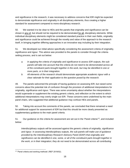and significance in the research, it was necessary to address concerns that IDR might be expected to demonstrate significance and originality in all disciplinary elements, thus creating a higher standard for assessment compared to mono-disciplinary research.

50. We wanted it to be clear to HEIs and the panels that originality and significance can be shown in any of, but should not be required to be demonstrated for all, disciplinary elements. While individual disciplinary elements might be considered standard practice in their own fields, originality and significance could be achieved through the novelty and value of the approach to the research itself, in bringing together differing approaches in an innovative way including by their integration.

51. We developed our initial advice specifically considering the assessment criteria of originality, significance and rigour. This advice was provided to the panels to consider through the criteriasetting process, and is set out below:

- *a. In applying the criteria of originality and significance to assess IDR outputs, the subpanels will take into account that the criteria do not need to be demonstrated across all of the constituent parts brought together in the work, but may be identified in one or more parts, or in their integration.*
- *b. All elements of the research should demonstrate appropriate academic rigour with a clear rationale for their application to the question posed by the research.*

49. The panels welcomed the principle of having guidance on assessing IDR, but raised some concerns about the potential risk of confusion through the provision of additional interpretations for originality, significance and rigour. There was some uncertainty about whether the interpretations would supersede or supplement the existing generic criteria, and reflection on the extent to which additional interpretations may overly single out IDR. These concerns were underlined by the main panel chairs, who suggested that additional guidance may confuse HEIs and panels.

50. Taking into account the comments of the panels, we concluded that there remained a need for additional support for assessment of IDR but that this should be more clearly presented as supplementary guidance to the main panel criteria.

51. Our guidance on the criteria for assessment are set out in the 'Panel criteria'<sup>12</sup>, and included below:

*Interdisciplinary outputs will be assessed against the generic criteria of originality, significance and rigour. In assessing interdisciplinary outputs, the sub-panels will make use of guidance provided by the Interdisciplinary Research Advisory Panel (IDAP) that originality and significance can be identified in one, some, or all of the constituent parts brought together in the work, or in their integration; they do not need to be demonstrated across all contributing* 

 $\overline{a}$ <sup>12</sup> 'Panel criteria and working methods' (REF 2019/02).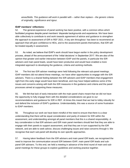*areas/fields. This guidance will work in parallel with – rather than replace – the generic criteria of originality, significance and rigour.*

#### <span id="page-16-0"></span>**IDAP members' reflections:**

52. The general experience of panel working has been positive, with a common ethos which facilitated progress despite panel members' disparate backgrounds and experience. We have been able collectively to contribute to and work towards agreement of advice and guidance to strengthen the approach to assessment of IDR in REF 2021. A key aim throughout has been to recommend an approach that will give confidence to HEIs, and to the assessment panels themselves, that IDR will be treated equally in assessment.

53. As noted, we believe that IDAP's work should have begun earlier in the policy development process, ahead of the announcement of the 'initial decisions' in September 2017. We are also of the opinion that greater and earlier interaction between IDAP and the panels, in particular the IDR advisers and main panel leads, would have been productive and would have enabled a more integrated approach to developing the guidance, criteria and working methods.

54. The first two IDR adviser meetings were held following the relevant sub-panel meetings. IDAP members did not attend these meetings, nor have other opportunities to engage with the IDR advisers. There is a shared feeling between the IDR advisers and IDAP members that engagement right from this early stage would have been beneficial, and may have helped address some of the issues and concerns arising with both the IDR measures in the guidance and criteria and the panel processes aimed at supporting these measures.

55. We felt that lack of early interaction with the main panel chairs meant that we did not have the opportunity to fully engage them with the detailed considerations we gave to our recommendations and guidance for IDR in REF. At times this meant that we had to lobby robustly for and defend the inclusion of IDAP's guidance. Understandably, this was a source of some frustration to IDAP members.

56. Throughout our work we have been mindful of the need to ensure that there is a clear understanding that there will be equal consideration and parity of esteem for IDR within the assessment, and understanding amongst all panel members that this is a shared responsibility. A key consideration is that IDR advisers and IDR main panel members should feel that they are able to engage with their panels to support assessment, and that they are in turn supported by the IDR network, and are able to seek advice, discuss challenging issues and raise concerns through it. We recognise that each sub-panel will develop its own specific approaches.

57. Having taken feedback from the IDR advisers and main panel IDR leads, we recognised the need to improve the communication around IDR between IDAP, main panel IDR leads and subpanel IDR advisers. To this end, we held a meeting in advance of the third round of main and subpanel meetings for these groups to explore guidelines and working practice together.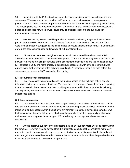58. In meeting with the IDR network we were able to explore issues of concern for panels and sub-panels. We were also able to provide clarification on our considerations in developing the guidance for the criteria, and our proposals for the role of the IDR network in supporting assessment. The meeting reviewed the proposed scheduling of meetings for the network within the assessment phase and discussed how the network could provide practical support to the sub-panels in undertaking assessment.

59. Some of the key issues raised by panels concerned consistency in approach across subpanels, and how HEIs, sub-panels and the funding bodies will each use the IDR indicator. There were also a number of suggestions, including a need to ensure that calibration for IDR is undertaken early in the assessment phase and involves all sub-panel members.

60. IDR network members highlighted that they would welcome additional support for IDR advisers and panel members in the assessment phase. To this end we have agreed to work with the network to develop a briefing in advance of the assessment phase to feed into the induction of new IDR advisers in 2020 and more broadly to support IDR assessment within the sub-panels. It was agreed that a further meeting of the network, including IDAP members, should be held before the sub-panels reconvene in 2020 to develop this briefing.

#### <span id="page-17-0"></span>**IDR in environment submissions**

61. IDAP was asked to provide advice to the funding bodies on the inclusion of IDR-specific information in the environment submission. This encompassed a range of considerations: requesting IDR information in the unit-level template; providing recommended indicators for interdisciplinarity; and requesting IDR information in the institution-level environment submission and institution-level impact case studies.

#### <span id="page-17-1"></span>**Unit-level environment**

62. It was noted that there had been wide support through consultation for the inclusion of IDRrelevant information within the environment submission and the panel was invited to comment on the inclusion of an IDR section within the unit-level environment template. In developing our advice we took into account the potential benefits of offering the submitting unit the opportunity to showcase their resources and approaches to support IDR, which may not be captured elsewhere in the submission.

63. On this basis we supported the proposal to include IDR support mechanisms explicitly within the template. However, we also advised that this information should not be considered mandatory and noted that its inclusion would depend on the context of the submitting unit. We further advised that clear guidance would be needed to reassure institutions that units would not be penalised where inclusion of this information would not be appropriate.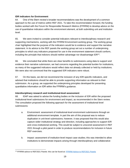#### <span id="page-18-0"></span>**IDR indicators for Environment**

64. One of the Stern review's broader recommendations was the development of a common approach to the use of metrics within REF 2021. To take this recommendation forward, the funding bodies worked with the Forum for Responsible Research Metrics (FFRRM) to develop advice on the use of quantitative indicators within the environment element, at both submitting unit and institution level.

65. We were invited to consider potential indicators relevant to interdisciplinary research and supporting mechanisms, working with the FFRRM Environment working group. The working group chair highlighted that the purpose of the indicators would be to evidence and support the narrative statement. In its advice to the REF panels the working group set out a number of underpinning principles to which any indicators proposed for use in the environment statement should conform, including the principle that indictors should neither advantage nor disadvantage IDR $^{13}$ .

66. We concluded that while there are clear benefits to submissions using data to support and evidence their narrative submission, we had concerns regarding the potential burden for institutions, as many of the suggested indicators would reflect data not already collected or held by institutions. We were also not convinced that the suggested IDR indicators were robust.

67. On this basis, we did not recommend the inclusion of any IDR-specific indicators, and advised that institutions should be able to provide supporting information as relevant to their submission. As a group, we supported the underpinning principles developed for presenting quantitative information on IDR within the FFRRM's guidance.

## <span id="page-18-1"></span>**Interdisciplinary research and institutional-level assessment**

68. IDAP was asked to advise the funding bodies on the inclusion of IDR within the proposed institutional-level submissions for environment and impact, as recommended in the Stern review. The consultation proposed the following approach for the assessment of institutional-level submissions:

- a. Environment: assessment of institutional-level environment submissions through an additional environment template. In part the aim of this proposal was to reduce duplication in unit-level submissions; however, it was proposed that this would also capture wider institutional strategy and direction, including approaches to support IDR and cross-institutional working. This would be subject to unscored assessment in REF 2021 through a pilot panel in order to produce recommendations for inclusion in future REF exercises.
- b. Impact: assessment of institution-level impact case studies; this was intended to allow institutions to demonstrate impacts arising through interdisciplinary and collaborative

 $\overline{a}$ <sup>13</sup> FFRRM advice to REF2021 Panels: this can be found at: [FFRRM Advice to REF2021 Panels](https://www.universitiesuk.ac.uk/policy-and-analysis/research-policy/open-science/The%20Forum%20for%20Responsible%20Research%20Metrics/FFRRM%20advice%20to%20REF2021%20panels%20on%20impact%20and%20environment%20indicators%2026July2018.pdf)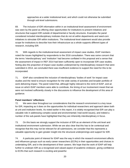approaches at a wider institutional level, and which could not otherwise be submitted through unit-level submissions.

69. The inclusion of IDR information within in an institutional-level assessment of environment was seen by the panel as offering clear opportunities for institutions to present initiatives and structures that support IDR outside of departmental or faculty structures. Examples the panel considered included interdisciplinary institutes that do not sit within departments and seed-corn initiatives to stimulate IDR within institutions. The institutional-level statement would also provide scope for institutions to describe how their infrastructure as a whole supports different types of research, including IDR.

70. With regards to the institutional-level assessment of impact case studies, IDAP members noted the issues highlighted by respondents to the 2016 consultation. There was some concern that the terms 'interdisciplinary' and 'institution' had become conflated in this proposal and a sense that the assessment of impact in REF 2014 had been sufficiently open to incorporate IDR case studies. Noting also the proportion of impact case studies underpinned by interdisciplinary research that were submitted in 2014, we concluded there was insufficient evidence to support the need for this to be incorporated.

71. IDAP also considered the inclusion of interdisciplinary 'bodies of work' for impact case studies and the need to ensure recognition for the wide variety of activities and broader portfolio of work delivering impact. The panel noted that, although highly relevant to the remit of IDAP, and an issue on which IDAP members were able to contribute, the timing of our involvement meant that we were not involved sufficiently closely in the discussions to influence the development of this area of guidance.

#### <span id="page-19-0"></span>**Panel members' reflections**

72. We were clear throughout our considerations that the research environment is a key issue for IDR, impacting as it does on the opportunities for individual researchers and approach taken both at unit and institution levels. As noted earlier in this report, it is widely recognised that IDR can play a valuable role in addressing complex social and environmental ('real-world issues), and indeed a number of the sub-panels have highlighted that they are inherently interdisciplinary in focus.

73. On this basis we strongly support the inclusion of IDR as an element of the unit level and institutional environment submission. While we are also clear that this has to be contextual and recognise that this may not be relevant for all submissions, we consider that this represents a valuable opportunity to gain greater insight into the structural underpinnings and support for IDR.

74. A particular point of interest for IDAP was the way in which the research environment affects and influences groups such as early career researchers (ECRs) in their opportunities and choices in undertaking IDR, and in the development of their careers. We hope that the work of IDAP will help further to underpin IDR as a recognised and valued aspect of academic endeavor, giving confidence to ECRs that such research is exciting and powerful.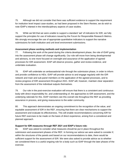75. Although we did not consider that there was sufficient evidence to support the requirement for institution level impact case-studies, as had been proposed in the Stern Review, we do wish to note IDAP's interest in the interdisciplinary aspects of case studies.

76. While we felt that we were unable to support a standard 'set' of indicators for IDR, we fully support the principles for use of indicators issued by the Forum for Responsible Research Metrics. We strongly encourage the use of appropriate quantitative indicators to support the narrative submissions for both institution and unit level environment submissions.

#### <span id="page-20-0"></span>**Assessment phase working methods and implementation**

77. Following the work of the panel during the criteria development phase, the role of IDAP going into the assessment phase will change significantly. Our role will move from being developmental and advisory, to one more focused on oversight and assurance of the application of agreed processes for IDR assessment. IDAP will observe process, gather and review evidence, and undertake evaluation.

78. IDAP will undertake an ambassadorial role through the submission phase, in order to inform and provide confidence to HEIs. IDAP will provide advice to and engage regularly with the IDR network and main and sub-panel members on the application of the agreed processes, and to review progress of IDR assessment throughout 2021. IDAP will, however, maintain clear separation from the assessment of the individual outputs themselves.

79. Our role in the post-exercise evaluation will ensure that there is a consistent and continuous body with direct responsibility for, and understanding of, the approaches to IDR assessment, and the underlying rationale for this. IDAP members see this overall role throughout the REF as providing assurance in process, and giving reassurance to the wider community.

80. This approach demonstrates an ongoing commitment to the recognition of the value, and equitable assessment of IDR in the REF, ensuring that there are clear mechanisms to support the assessment and evaluate its effectiveness. This will enable recommendations concerning IDR for future REF exercises to be made on the basis of direct experience, arising from a considered and planned approach.

## <span id="page-20-1"></span>**Support for IDR measures through REF 2021 and IDAP's future role:**

81. IDAP was asked to consider what measures should be put in place throughout the submission and assessment phases of the REF. In forming our advice we were asked to consider if, within the structures of the panels and based on our recommendations to date, there would be sufficient support for the assessment of IDR. We were also asked to provide advice as to whether we considered there is a useful ongoing role for a body such as IDAP through the later phases of the exercise.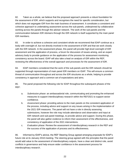82. Taken as a whole, we believe that the proposed approach presents a robust foundation for the assessment of IDR, which supports and recognises the need for specific consideration, but which does not segregate IDR from the main business of assessment. It constitutes a consistent and cohesive approach to undertaking assessment across the sub-panels, underpinned by collaborative working across the panels through the adviser network. The work of the sub-panels and the communication between IDR Advisers through the IDR network is itself supported by the main panel IDR members.

83. In order to achieve a cohesive and consistent whole we recommend that IDAP continue as a body with oversight of, but not directly involved in the assessment of IDR and that we work closely with the IDR network. In the assessment phase, this panel will provide high-level oversight of IDR assessment and the application of process, a forum for discussion of issues arising, and an expert advisory body to provide guidance on the application of the process for assessment monitoring consistency across the board. IDAP will also take a lead on analysis of IDR within the REF, reviewing the effectiveness of the overall approach and processes for the assessment of IDR.

84. IDAP members considered that the work of the sub-panels and the IDR network should be supported through representation of main panel IDR members on IDAP. This will ensure a common thread of communication throughout and across the IDR structures as a whole, helping to provide consistency in approach and a common set of expectations and aims.

85. The panel proposed the following role for IDAP throughout the subsequent phases of the REF:

- a. *Submission phase*: an ambassadorial role, communicating and promoting the enhanced measures to support interdisciplinary research within the REF2021 to support sector confidence.
- b. *Assessment phase*: providing advice to the main panels on the consistent application of the process, including advice and support on any issues arising in the implementation of the 2021 IDR measures. The panel will not have a role in directly assessing submissions, however the role may include attendance and observation and input at IDR network and sub-panel meetings, to provide advice and support. During this phase, the panel will also gather evidence to inform their assessment of the effectiveness, and consistency of application of the 2021 interventions.
- c. *Evaluation phase*: Review the assessment of interdisciplinary research in the REF and the success of the application of process and its effectiveness.

86. Informed by IDAP's advice, the REF Steering Group agreed emerging proposals for IDAP's future role at its January 2018 meeting. The steering group agreed with the principles that the panel would add value to the assessment of interdisciplinary outputs, have a clear and distinct role, avoid conflicts in governance and help ensure wider confidence in the assessment process for interdisciplinary research.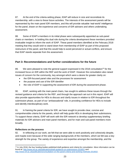87. At the end of the criteria-setting phase, IDAP will reduce in size and reconstitute its membership, with a view to these future activities. The interests of the assessment panels will be represented by the main panel IDR members, and this will provide valuable 'real-world' intelligence for the panel, drawn on the experience and concerns of IDR advisers and others undertaking assessment.

88. Some of IDAP's members in its initial phase were subsequently appointed as sub-panel chairs or members. In holding this dual role during the criteria development these members provided invaluable insight to inform the work of IDAP. These panel members identified at the February 2018 meeting that they would wish to stand down from membership of IDAP as part of this proposed restructure of the panel, and that this would help to avoid perceived or actual conflicts, and ensure that IDAP stands separate from the assessment.

## <span id="page-22-0"></span>**Part 3: Recommendations and further considerations for the future**

89. We were pleased to note the general support expressed in the 2018 consultation<sup>14</sup> for the increased focus on IDR within the REF and the work of IDAP. However the consultation also raised issues of concern for the community, key amongst which were a desire for greater clarity on:

- the IDR-focused panel roles and the processes for assessment
- the purpose and use of the IDR identifier
- the role of IDAP in supporting the assessment of IDR during the assessment phase.

90. IDAP, working with the main panel chairs, has sought to address these issues through the revised guidance and criteria for the REF, and through the approach set out in this report. IDAP will also provide opportunities for HEIs to discuss and clarify issues in relation to IDR throughout the submission phase, as part of our 'ambassadorial' role, in providing confidence for HEIs to include and identify interdisciplinary work.

91. In framing the panel criteria for IDR, we have sought to provide clear, concise and comprehensible criteria for the panels, which will help guide HEIs in developing their submissions. To support these criteria, IDAP will work with the IDR network to develop supplementary briefing materials for IDR advisers and main panel members, and for main and sub-panel members more broadly.

#### <span id="page-22-1"></span>**Reflections on the process**

92. In reflecting on our work, we felt that we were able to work positively and cohesively despite, and maybe even because of the wide ranging backgrounds of the members, which we felt was a key strength for the group. The variety of experience and expertise amongst the membership, and the

 $\overline{a}$ <sup>14</sup> In July 2018, the four funding bodies published draft guidance and criteria for consultation. More information can be found at[: http://www.ref.ac.uk/publications/draft-guidance-on-submissions-201801/](http://www.ref.ac.uk/publications/draft-guidance-on-submissions-201801/) and [http://www.ref.ac.uk/publications/consultation-on-the-panel-criteria-and-working-methods-201802/.](http://www.ref.ac.uk/publications/consultation-on-the-panel-criteria-and-working-methods-201802/)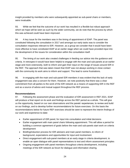insight provided by members who were subsequently appointed as sub-panel chairs or members, were invaluable.

93. While we feel that the outcome of our work has resulted in a flexible but robust approach which we hope will be seen as such by the wider community, we do note that the process by which this was achieved could have been improved.

94. A key issue for the members was in the timing of appointment of IDAP. The panel was constituted following the consultation in 2017 and amongst our early tasks was to consider the consultation responses relevant to IDR. However, as a group we consider that it would have been more effective to have constituted IDAP at an earlier stage when we could have provided input into the development of the issues for consideration within the consultation itself.

95. The timing of our work also created challenges in feeding our advice into the guidance and criteria. In retrospect it would have been helpful to engage with the main and sub-panels at an earlier stage and more extensively, both to inform and gain their input on the range of issues around IDR in the REF. The approach that was taken meant that IDAP was not always working in close contact with the community its work aims to inform and support. This lead to some frustrations.

96. In engaging with the main and sub-panel IDR members it was evident that this lack of early engagement was also a concern for them. However, we note positively that there was a clear commitment from all parties to the work of the IDR network as a means of supporting IDR in the REF and as a source of advice and mutual support throughout the REF process.

## <span id="page-23-0"></span>**Recommendations**

97. Following the assessment phase and the evaluation of IDR assessment in REF 2021, IDAP will produce a final report on its work and findings across the REF period as a whole. This will give us the opportunity, based on our own observations and the panels' experiences, to review and build on our findings, and to develop further recommendations for future exercises. On this basis the recommendations below for future REF exercises should be seen to represent the interim findings of our work and experience to-date:

- Earlier appointment of IDR panel, for input into consultation and initial decisions
- Earlier engagement with main panel chairs following appointment. This will allow a period for building a common agreement of goals before the main and sub-panels start work on criteria development
- Briefing/induction process for IDR advisers and main panel members, to inform of background, expectations and opportunities for input and involvement
- Direct engagement with sub-panel members at an early stage in criteria development, to enable an open dialogue with panel representatives to test and inform assessment principles
- Ongoing engagement with panel members throughout criteria development, including meetings of the IDR network as forum for dialogue and information sharing.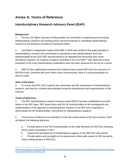# <span id="page-24-0"></span>**Annex A: Terms of Reference**

# **Interdisciplinary Research Advisory Panel (IDAP)**

# **Background**

1. The four UK higher education funding bodies are committed to supporting and promoting interdisciplinary research and breaking down perceived barriers to submitting interdisciplinary research to the Research Excellence Framework (REF).

2. Lord Stern's independent review of the REF in 2016 was mindful of the great potential of interdisciplinary research and commented on perceptions that interdisciplinary work was disadvantaged by the 2014 REF and perceived to be regarded less favourably than monodisciplinary research. An analysis of outputs submitted to the 2014 REF<sup>15</sup> also observed a lower proportion of the most interdisciplinary publications than has been observed for the UK as a whole.

3. HEFCE have significantly enhanced the evidence base around IDR since the outcomes of REF2014 and, combined with work others have commissioned, there is a strong foundation on which to build.

# **Aims of the panel**

4. To ensure that REF 2021 supports the submission and fair assessment of interdisciplinary research, and that this is clearly demonstrated during the development and implementation of the exercise.

# **Terms of Reference**

5. The REF Interdisciplinary research advisory panel (IDAP) has been established to provide advice to the REF team, REF panel chairs and the UK funding bodies on the development and implementation of the approach to interdisciplinary research in the REF and is intended to demonstrate the UK funding bodies' commitment to interdisciplinary research.

6. These terms of reference are intended to cover the criteria phase of the next exercise. IDAP will deliver the following objectives:

a. Provide advice to the HE Funding Bodies on the initial decisions for REF2021 following formal sector consultation in 2017.

b. Support the development of interdisciplinary aspects of any REF2021 pilot activity.

c. Provide advice and oversight on the assessment criteria with respect to IDR during the criteria setting phases of REF2021.

 $\overline{a}$ <sup>15</sup>[http://www.hefce.ac.uk/media/HEFCE,2014/Content/Pubs/Independentresearch/2015/Review,of,the,UKs,interdiscip](http://www.hefce.ac.uk/media/HEFCE,2014/Content/Pubs/Independentresearch/2015/Review,of,the,UKs,interdisciplinary,research/2015_interdisca.pdf) [linary,research/2015\\_interdisca.pdf](http://www.hefce.ac.uk/media/HEFCE,2014/Content/Pubs/Independentresearch/2015/Review,of,the,UKs,interdisciplinary,research/2015_interdisca.pdf)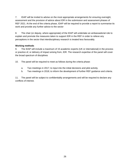7. IDAP will be invited to advise on the most appropriate arrangements for ensuring oversight, assessment and the provision of advice about IDR in the submission and assessment phases of REF 2021. At the end of the criteria phase, IDAP will be required to provide a report to summarise its work and provide any further advice to the sector

8. The chair (or deputy, where appropriate) of the IDAP will undertake an ambassadorial role to explain and promote the measures taken to support IDR in the REF in order to relieve any perceptions in the sector that interdisciplinary research is treated less favourably.

#### **Working methods**

9. The IDAP will include a maximum of 15 academic experts (UK or international) in the process or practice of, or delivery of impact arising from, IDR. The research expertise of the panel will cover the broad spectrum of disciplines

10. The panel will be required to meet as follows during the criteria phase:

- a. Two meetings in 2017; to input into the initial decisions and pilot activity.
- b. Two meetings in 2018; to inform the development of further REF guidance and criteria.

11. The panel will be subject to confidentiality arrangements and will be required to declare any conflicts of interest.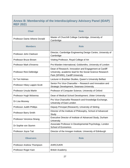# <span id="page-26-0"></span>**Annex B: Membership of the Interdisciplinary Advisory Panel (IDAP) REF 2021**

| <b>Chair</b>                     | <b>Role</b>                                                                                                                                             |
|----------------------------------|---------------------------------------------------------------------------------------------------------------------------------------------------------|
| Professor Dame Athene Donald     | Master of Churchill College Cambridge, University of<br>Cambridge                                                                                       |
| <b>Members</b>                   | <b>Role</b>                                                                                                                                             |
| Professor John Clarkson          | Director, Cambridge Engineering Design Centre, University of<br>Cambridge                                                                               |
| Professor Bruce Brown            | Visiting Professor, Royal College of Art                                                                                                                |
| Professor Mark d'Inverno         | Pro-Warden International, Goldsmiths, University of London                                                                                              |
| Professor Rick Delbridge         | Dean of Research, Innovation and Engagement at Cardiff<br>University, academic lead for the Social Science Research<br>Park (SPARK), Cardiff University |
| Dr Tori Holmes                   | Lecturer in Brazilian Studies, Queen's University Belfast                                                                                               |
| Professor Hilary Lappin-Scott    | Senior Pro Vice-Chancellor - Research and Innovation and<br>Strategic Development, Swansea University                                                   |
| Professor Ursula Martin          | Professor of Computer Science, University of Oxford                                                                                                     |
| Professor Hugh Mckenna           | Dean of Medical School Development, Ulster University                                                                                                   |
| Dr Lisa Mooney                   | Pro Vice-Chancellor Research and Knowledge Exchange,<br>University of East London                                                                       |
| <b>Professor Judith Phillips</b> | Deputy Principal (Research), University of Stirling                                                                                                     |
| Professor Barry Smith            | Director of the Institute of Philosophy, School of Advanced<br>Study                                                                                    |
| Professor Veronica Strang        | Executive Director of Institute of Advanced Study, Durham<br>University                                                                                 |
| Dr Sophie von Stumm              | Associate Professor in Developmental Psychology, London<br><b>School of Economics</b>                                                                   |
| Professor Joyce Tait             | Director of the Innogen Institute, University of Edinburgh                                                                                              |
| <b>Observers</b>                 | <b>Role</b>                                                                                                                                             |
| Professor Andrew Thompson        | <b>AHRC/UKRI</b>                                                                                                                                        |
| Professor Roger Kain             | <b>British Academy</b>                                                                                                                                  |